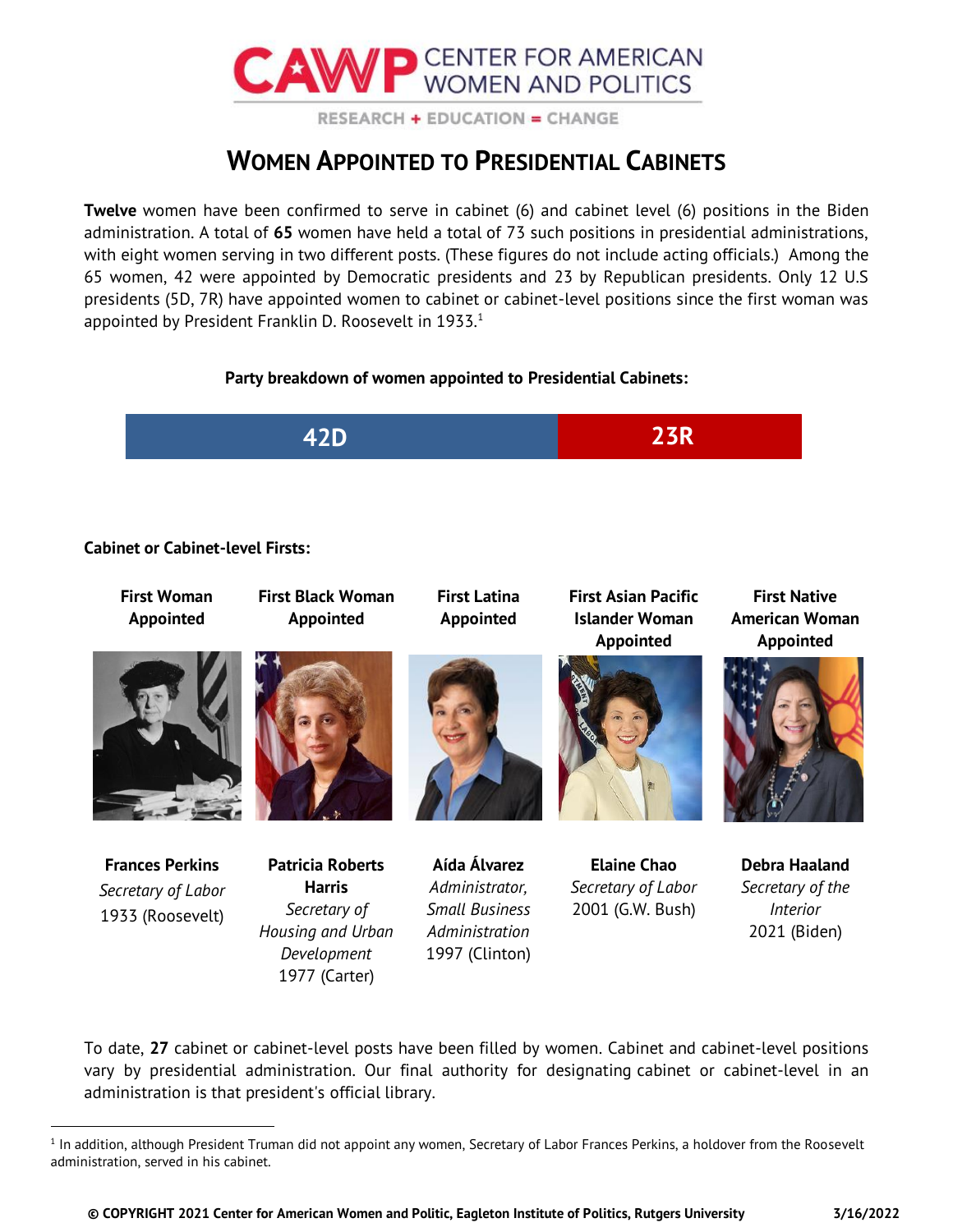

RESEARCH + EDUCATION = CHANGE

# **WOMEN APPOINTED TO PRESIDENTIAL CABINETS**

**Twelve** women have been confirmed to serve in cabinet (6) and cabinet level (6) positions in the Biden administration. A total of **65** women have held a total of 73 such positions in presidential administrations, with eight women serving in two different posts. (These figures do not include acting officials.) Among the 65 women, 42 were appointed by Democratic presidents and 23 by Republican presidents. Only 12 U.S presidents (5D, 7R) have appointed women to cabinet or cabinet-level positions since the first woman was appointed by President Franklin D. Roosevelt in 1933.<sup>1</sup>

## **Party breakdown of women appointed to Presidential Cabinets:**



## **Cabinet or Cabinet-level Firsts:**

| <b>First Woman</b><br>Appointed                                  | <b>First Black Woman</b><br>Appointed                                                        | <b>First Latina</b><br>Appointed                                                            | <b>First Asian Pacific</b><br><b>Islander Woman</b><br>Appointed | <b>First Native</b><br><b>American Woman</b><br>Appointed            |
|------------------------------------------------------------------|----------------------------------------------------------------------------------------------|---------------------------------------------------------------------------------------------|------------------------------------------------------------------|----------------------------------------------------------------------|
|                                                                  |                                                                                              |                                                                                             | 图                                                                |                                                                      |
| <b>Frances Perkins</b><br>Secretary of Labor<br>1933 (Roosevelt) | <b>Patricia Roberts</b><br><b>Harris</b><br>Secretary of<br>Housing and Urban<br>Development | Aída Álvarez<br>Administrator,<br><b>Small Business</b><br>Administration<br>1997 (Clinton) | <b>Elaine Chao</b><br>Secretary of Labor<br>2001 (G.W. Bush)     | Debra Haaland<br>Secretary of the<br><i>Interior</i><br>2021 (Biden) |

To date, **27** cabinet or cabinet-level posts have been filled by women. Cabinet and cabinet-level positions vary by presidential administration. Our final authority for designating cabinet or cabinet-level in an administration is that president's official library.

1977 (Carter)

<sup>1</sup> In addition, although President Truman did not appoint any women, Secretary of Labor Frances Perkins, a holdover from the Roosevelt administration, served in his cabinet.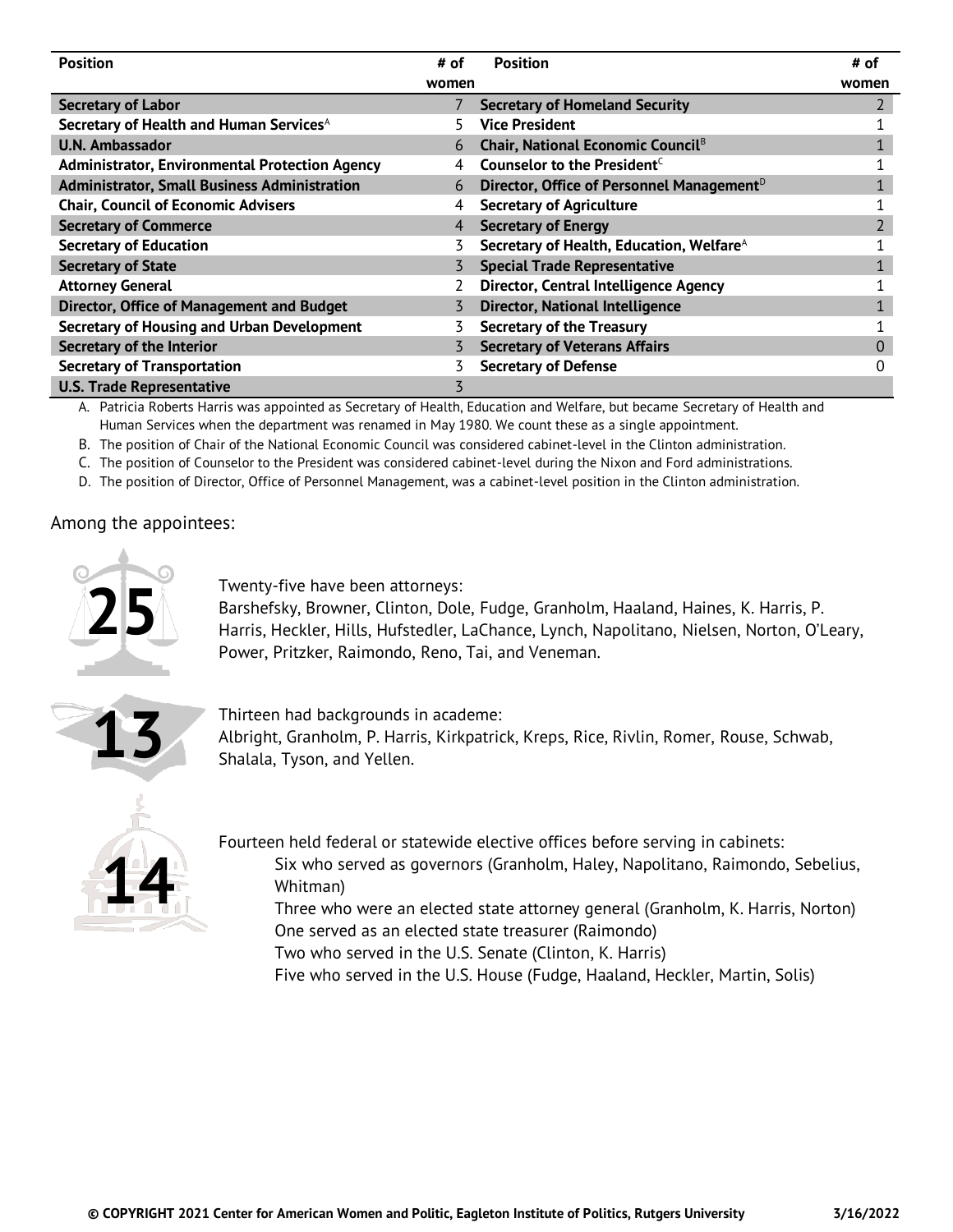| <b>Position</b>                                       | # of  | <b>Position</b>                                       | # of     |
|-------------------------------------------------------|-------|-------------------------------------------------------|----------|
|                                                       | women |                                                       | women    |
| <b>Secretary of Labor</b>                             |       | <b>Secretary of Homeland Security</b>                 |          |
| Secretary of Health and Human Services <sup>A</sup>   |       | <b>Vice President</b>                                 |          |
| <b>U.N. Ambassador</b>                                | 6     | Chair, National Economic Council <sup>B</sup>         |          |
| <b>Administrator, Environmental Protection Agency</b> |       | Counselor to the President <sup>C</sup>               |          |
| <b>Administrator, Small Business Administration</b>   | 6     | Director, Office of Personnel Management <sup>D</sup> |          |
| <b>Chair, Council of Economic Advisers</b>            | 4     | <b>Secretary of Agriculture</b>                       |          |
| <b>Secretary of Commerce</b>                          | 4     | <b>Secretary of Energy</b>                            |          |
| <b>Secretary of Education</b>                         |       | Secretary of Health, Education, Welfare <sup>A</sup>  |          |
| <b>Secretary of State</b>                             |       | <b>Special Trade Representative</b>                   |          |
| <b>Attorney General</b>                               |       | Director, Central Intelligence Agency                 |          |
| Director, Office of Management and Budget             |       | <b>Director, National Intelligence</b>                |          |
| Secretary of Housing and Urban Development            |       | <b>Secretary of the Treasury</b>                      |          |
| Secretary of the Interior                             |       | <b>Secretary of Veterans Affairs</b>                  | $\Omega$ |
| <b>Secretary of Transportation</b>                    |       | <b>Secretary of Defense</b>                           | 0        |
| <b>U.S. Trade Representative</b>                      | 3     |                                                       |          |

A. Patricia Roberts Harris was appointed as Secretary of Health, Education and Welfare, but became Secretary of Health and Human Services when the department was renamed in May 1980. We count these as a single appointment.

B. The position of Chair of the National Economic Council was considered cabinet-level in the Clinton administration.

C. The position of Counselor to the President was considered cabinet-level during the Nixon and Ford administrations.

D. The position of Director, Office of Personnel Management, was a cabinet-level position in the Clinton administration.

#### Among the appointees:



Twenty-five have been attorneys:

Barshefsky, Browner, Clinton, Dole, Fudge, Granholm, Haaland, Haines, K. Harris, P. Harris, Heckler, Hills, Hufstedler, LaChance, Lynch, Napolitano, Nielsen, Norton, O'Leary, Power, Pritzker, Raimondo, Reno, Tai, and Veneman.



Thirteen had backgrounds in academe:

Albright, Granholm, P. Harris, Kirkpatrick, Kreps, Rice, Rivlin, Romer, Rouse, Schwab, Shalala, Tyson, and Yellen.



Fourteen held federal or statewide elective offices before serving in cabinets:

- Six who served as governors (Granholm, Haley, Napolitano, Raimondo, Sebelius, Whitman)
	- Three who were an elected state attorney general (Granholm, K. Harris, Norton) One served as an elected state treasurer (Raimondo)

Two who served in the U.S. Senate (Clinton, K. Harris)

Five who served in the U.S. House (Fudge, Haaland, Heckler, Martin, Solis)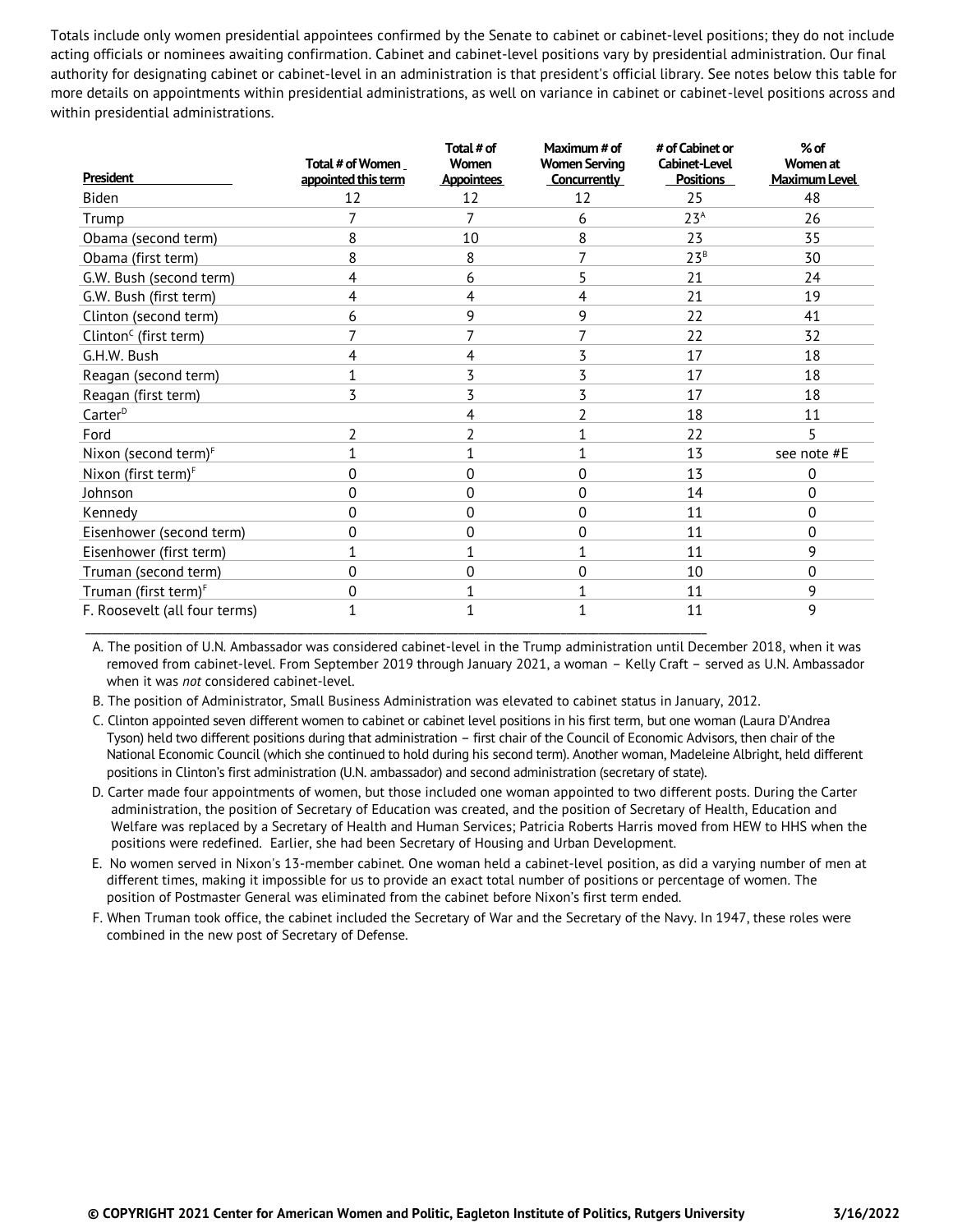Totals include only women presidential appointees confirmed by the Senate to cabinet or cabinet-level positions; they do not include acting officials or nominees awaiting confirmation. Cabinet and cabinet-level positions vary by presidential administration. Our final authority for designating cabinet or cabinet-level in an administration is that president's official library. See notes below this table for more details on appointments within presidential administrations, as well on variance in cabinet or cabinet-level positions across and within presidential administrations.

| <b>President</b>                               | Total # of Women<br>appointed this term | Total # of<br>Women<br>Appointees | Maximum # of<br><b>Women Serving</b><br>Concurrently | # of Cabinet or<br><b>Cabinet-Level</b><br><b>Positions</b> | $%$ of<br>Women at<br><b>Maximum Level</b> |
|------------------------------------------------|-----------------------------------------|-----------------------------------|------------------------------------------------------|-------------------------------------------------------------|--------------------------------------------|
| Biden                                          | 12                                      | 12                                | 12                                                   | 25                                                          | 48                                         |
| Trump                                          |                                         | 7                                 | 6                                                    | 23 <sup>A</sup>                                             | 26                                         |
| Obama (second term)                            | 8                                       | 10                                | 8                                                    | 23                                                          | 35                                         |
| Obama (first term)                             | 8                                       | 8                                 | 7                                                    | 23 <sup>B</sup>                                             | 30                                         |
| G.W. Bush (second term)                        | 4                                       | 6                                 | 5                                                    | 21                                                          | 24                                         |
| G.W. Bush (first term)                         | 4                                       | 4                                 | 4                                                    | 21                                                          | 19                                         |
| Clinton (second term)                          | 6                                       | 9                                 | 9                                                    | 22                                                          | 41                                         |
| Clinton <sup><math>C</math></sup> (first term) |                                         |                                   | 7                                                    | 22                                                          | 32                                         |
| G.H.W. Bush                                    | 4                                       | 4                                 | 3                                                    | 17                                                          | 18                                         |
| Reagan (second term)                           |                                         | 3                                 | 3                                                    | 17                                                          | 18                                         |
| Reagan (first term)                            | 3                                       | 3                                 | 3                                                    | 17                                                          | 18                                         |
| Carter <sup>D</sup>                            |                                         | 4                                 | $\overline{2}$                                       | 18                                                          | 11                                         |
| Ford                                           | 2                                       | 2                                 | 1                                                    | 22                                                          | 5                                          |
| Nixon (second term) <sup>F</sup>               |                                         |                                   | 1                                                    | 13                                                          | see note #E                                |
| Nixon (first term) <sup>F</sup>                | $\Omega$                                | $\Omega$                          | $\Omega$                                             | 13                                                          | $\Omega$                                   |
| Johnson                                        | $\Omega$                                | 0                                 | 0                                                    | 14                                                          | 0                                          |
| Kennedy                                        | 0                                       | 0                                 | 0                                                    | 11                                                          | 0                                          |
| Eisenhower (second term)                       | 0                                       | 0                                 | 0                                                    | 11                                                          | 0                                          |
| Eisenhower (first term)                        |                                         | 1                                 | 1                                                    | 11                                                          | 9                                          |
| Truman (second term)                           | 0                                       | 0                                 | 0                                                    | 10                                                          | 0                                          |
| Truman (first term) <sup>F</sup>               | 0                                       | 1                                 | 1                                                    | 11                                                          | 9                                          |
| F. Roosevelt (all four terms)                  |                                         |                                   | 1                                                    | 11                                                          | 9                                          |

A. The position of U.N. Ambassador was considered cabinet-level in the Trump administration until December 2018, when it was removed from cabinet-level. From September 2019 through January 2021, a woman – Kelly Craft – served as U.N. Ambassador when it was *not* considered cabinet-level.

B. The position of Administrator, Small Business Administration was elevated to cabinet status in January, 2012.

C. Clinton appointed seven different women to cabinet or cabinet level positions in his first term, but one woman (Laura D'Andrea Tyson) held two different positions during that administration – first chair of the Council of Economic Advisors, then chair of the National Economic Council (which she continued to hold during his second term). Another woman, Madeleine Albright, held different positions in Clinton's first administration (U.N. ambassador) and second administration (secretary of state).

 D. Carter made four appointments of women, but those included one woman appointed to two different posts. During the Carter administration, the position of Secretary of Education was created, and the position of Secretary of Health, Education and Welfare was replaced by a Secretary of Health and Human Services; Patricia Roberts Harris moved from HEW to HHS when the positions were redefined. Earlier, she had been Secretary of Housing and Urban Development.

 E. No women served in Nixon's 13-member cabinet. One woman held a cabinet-level position, as did a varying number of men at different times, making it impossible for us to provide an exact total number of positions or percentage of women. The position of Postmaster General was eliminated from the cabinet before Nixon's first term ended.

F. When Truman took office, the cabinet included the Secretary of War and the Secretary of the Navy. In 1947, these roles were combined in the new post of Secretary of Defense.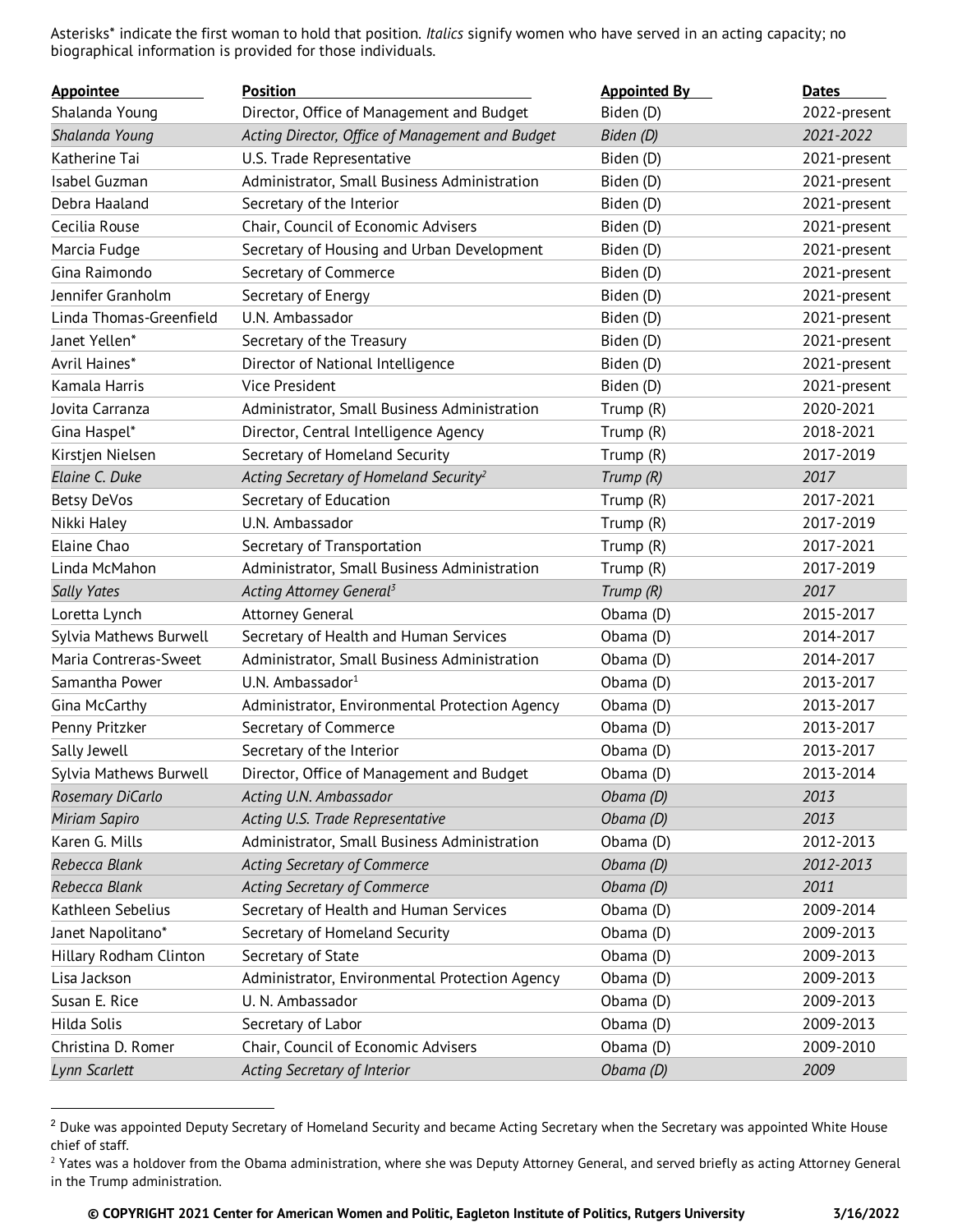Asterisks\* indicate the first woman to hold that position. *Italics* signify women who have served in an acting capacity; no biographical information is provided for those individuals.

| <b>Appointee</b>        | <b>Position</b>                                    | <b>Appointed By</b> | <b>Dates</b> |
|-------------------------|----------------------------------------------------|---------------------|--------------|
| Shalanda Young          | Director, Office of Management and Budget          | Biden (D)           | 2022-present |
| Shalanda Young          | Acting Director, Office of Management and Budget   | Biden (D)           | 2021-2022    |
| Katherine Tai           | U.S. Trade Representative                          | Biden (D)           | 2021-present |
| Isabel Guzman           | Administrator, Small Business Administration       | Biden (D)           | 2021-present |
| Debra Haaland           | Secretary of the Interior                          | Biden (D)           | 2021-present |
| Cecilia Rouse           | Chair, Council of Economic Advisers                | Biden (D)           | 2021-present |
| Marcia Fudge            | Secretary of Housing and Urban Development         | Biden (D)           | 2021-present |
| Gina Raimondo           | Secretary of Commerce                              | Biden (D)           | 2021-present |
| Jennifer Granholm       | Secretary of Energy                                | Biden (D)           | 2021-present |
| Linda Thomas-Greenfield | U.N. Ambassador                                    | Biden (D)           | 2021-present |
| Janet Yellen*           | Secretary of the Treasury                          | Biden (D)           | 2021-present |
| Avril Haines*           | Director of National Intelligence                  | Biden (D)           | 2021-present |
| Kamala Harris           | <b>Vice President</b>                              | Biden (D)           | 2021-present |
| Jovita Carranza         | Administrator, Small Business Administration       | Trump (R)           | 2020-2021    |
| Gina Haspel*            | Director, Central Intelligence Agency              | Trump (R)           | 2018-2021    |
| Kirstjen Nielsen        | Secretary of Homeland Security                     | Trump (R)           | 2017-2019    |
| Elaine C. Duke          | Acting Secretary of Homeland Security <sup>2</sup> | Trump (R)           | 2017         |
| Betsy DeVos             | Secretary of Education                             | Trump (R)           | 2017-2021    |
| Nikki Haley             | U.N. Ambassador                                    | Trump (R)           | 2017-2019    |
| Elaine Chao             | Secretary of Transportation                        | Trump (R)           | 2017-2021    |
| Linda McMahon           | Administrator, Small Business Administration       | Trump (R)           | 2017-2019    |
| <b>Sally Yates</b>      | Acting Attorney General <sup>3</sup>               | Trump (R)           | 2017         |
| Loretta Lynch           | Attorney General                                   | Obama (D)           | 2015-2017    |
| Sylvia Mathews Burwell  | Secretary of Health and Human Services             | Obama (D)           | 2014-2017    |
| Maria Contreras-Sweet   | Administrator, Small Business Administration       | Obama (D)           | 2014-2017    |
| Samantha Power          | U.N. Ambassador <sup>1</sup>                       | Obama (D)           | 2013-2017    |
| Gina McCarthy           | Administrator, Environmental Protection Agency     | Obama (D)           | 2013-2017    |
| Penny Pritzker          | Secretary of Commerce                              | Obama (D)           | 2013-2017    |
| Sally Jewell            | Secretary of the Interior                          | Obama (D)           | 2013-2017    |
| Sylvia Mathews Burwell  | Director, Office of Management and Budget          | Obama (D)           | 2013-2014    |
| Rosemary DiCarlo        | Acting U.N. Ambassador                             | Obama (D)           | 2013         |
| Miriam Sapiro           | Acting U.S. Trade Representative                   | Obama (D)           | 2013         |
| Karen G. Mills          | Administrator, Small Business Administration       | Obama (D)           | 2012-2013    |
| Rebecca Blank           | Acting Secretary of Commerce                       | Obama (D)           | 2012-2013    |
| Rebecca Blank           | <b>Acting Secretary of Commerce</b>                | Obama (D)           | 2011         |
| Kathleen Sebelius       | Secretary of Health and Human Services             | Obama (D)           | 2009-2014    |
| Janet Napolitano*       | Secretary of Homeland Security                     | Obama (D)           | 2009-2013    |
| Hillary Rodham Clinton  | Secretary of State                                 | Obama (D)           | 2009-2013    |
| Lisa Jackson            | Administrator, Environmental Protection Agency     | Obama (D)           | 2009-2013    |
| Susan E. Rice           | U. N. Ambassador                                   | Obama (D)           | 2009-2013    |
| Hilda Solis             | Secretary of Labor                                 | Obama (D)           | 2009-2013    |
| Christina D. Romer      | Chair, Council of Economic Advisers                | Obama (D)           | 2009-2010    |
| Lynn Scarlett           | Acting Secretary of Interior                       | Obama (D)           | 2009         |

<sup>&</sup>lt;sup>2</sup> Duke was appointed Deputy Secretary of Homeland Security and became Acting Secretary when the Secretary was appointed White House chief of staff.

<sup>&</sup>lt;sup>2</sup> Yates was a holdover from the Obama administration, where she was Deputy Attorney General, and served briefly as acting Attorney General in the Trump administration.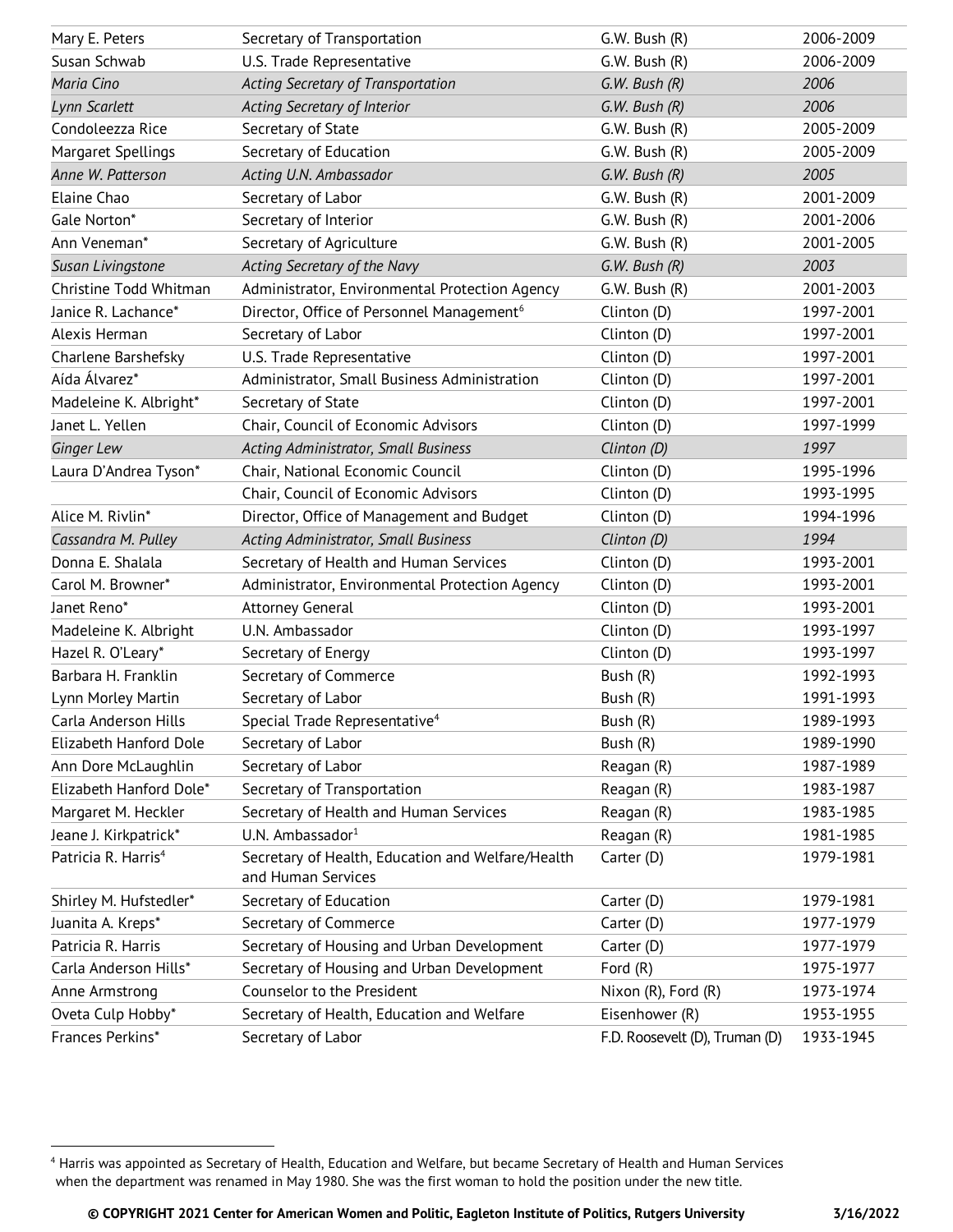| Mary E. Peters                  | Secretary of Transportation                                             | G.W. Bush (R)                  | 2006-2009 |
|---------------------------------|-------------------------------------------------------------------------|--------------------------------|-----------|
| Susan Schwab                    | U.S. Trade Representative                                               | G.W. Bush (R)                  | 2006-2009 |
| Maria Cino                      | Acting Secretary of Transportation                                      | $G.W.$ Bush $(R)$              | 2006      |
| Lynn Scarlett                   | Acting Secretary of Interior                                            | $G.W.$ Bush $(R)$              | 2006      |
| Condoleezza Rice                | Secretary of State                                                      | G.W. Bush (R)                  | 2005-2009 |
| Margaret Spellings              | Secretary of Education                                                  | G.W. Bush (R)                  | 2005-2009 |
| Anne W. Patterson               | Acting U.N. Ambassador                                                  | G.W. Bush (R)                  | 2005      |
| Elaine Chao                     | Secretary of Labor                                                      | G.W. Bush (R)                  | 2001-2009 |
| Gale Norton*                    | Secretary of Interior                                                   | G.W. Bush (R)                  | 2001-2006 |
| Ann Veneman*                    | Secretary of Agriculture                                                | G.W. Bush (R)                  | 2001-2005 |
| Susan Livingstone               | Acting Secretary of the Navy                                            | $G.W.$ Bush $(R)$              | 2003      |
| Christine Todd Whitman          | Administrator, Environmental Protection Agency                          | G.W. Bush (R)                  | 2001-2003 |
| Janice R. Lachance*             | Director, Office of Personnel Management <sup>6</sup>                   | Clinton (D)                    | 1997-2001 |
| Alexis Herman                   | Secretary of Labor                                                      | Clinton (D)                    | 1997-2001 |
| Charlene Barshefsky             | U.S. Trade Representative                                               | Clinton (D)                    | 1997-2001 |
| Aída Álvarez*                   | Administrator, Small Business Administration                            | Clinton (D)                    | 1997-2001 |
| Madeleine K. Albright*          | Secretary of State                                                      | Clinton (D)                    | 1997-2001 |
| Janet L. Yellen                 | Chair, Council of Economic Advisors                                     | Clinton (D)                    | 1997-1999 |
| Ginger Lew                      | Acting Administrator, Small Business                                    | Clinton (D)                    | 1997      |
| Laura D'Andrea Tyson*           | Chair, National Economic Council                                        | Clinton (D)                    | 1995-1996 |
|                                 | Chair, Council of Economic Advisors                                     | Clinton (D)                    | 1993-1995 |
| Alice M. Rivlin*                | Director, Office of Management and Budget                               | Clinton (D)                    | 1994-1996 |
| Cassandra M. Pulley             | <b>Acting Administrator, Small Business</b>                             | Clinton (D)                    | 1994      |
| Donna E. Shalala                | Secretary of Health and Human Services                                  | Clinton (D)                    | 1993-2001 |
| Carol M. Browner*               | Administrator, Environmental Protection Agency                          | Clinton (D)                    | 1993-2001 |
| Janet Reno*                     | Attorney General                                                        | Clinton (D)                    | 1993-2001 |
| Madeleine K. Albright           | U.N. Ambassador                                                         | Clinton (D)                    | 1993-1997 |
| Hazel R. O'Leary*               | Secretary of Energy                                                     | Clinton (D)                    | 1993-1997 |
| Barbara H. Franklin             | Secretary of Commerce                                                   | Bush (R)                       | 1992-1993 |
| Lynn Morley Martin              | Secretary of Labor                                                      | Bush (R)                       | 1991-1993 |
| Carla Anderson Hills            | Special Trade Representative <sup>4</sup>                               | Bush (R)                       | 1989-1993 |
| Elizabeth Hanford Dole          | Secretary of Labor                                                      | Bush (R)                       | 1989-1990 |
| Ann Dore McLaughlin             | Secretary of Labor                                                      | Reagan (R)                     | 1987-1989 |
| Elizabeth Hanford Dole*         | Secretary of Transportation                                             | Reagan (R)                     | 1983-1987 |
| Margaret M. Heckler             | Secretary of Health and Human Services                                  | Reagan (R)                     | 1983-1985 |
| Jeane J. Kirkpatrick*           | U.N. Ambassador <sup>1</sup>                                            | Reagan (R)                     | 1981-1985 |
| Patricia R. Harris <sup>4</sup> | Secretary of Health, Education and Welfare/Health<br>and Human Services | Carter (D)                     | 1979-1981 |
| Shirley M. Hufstedler*          | Secretary of Education                                                  | Carter (D)                     | 1979-1981 |
| Juanita A. Kreps*               | Secretary of Commerce                                                   | Carter (D)                     | 1977-1979 |
| Patricia R. Harris              | Secretary of Housing and Urban Development                              | Carter (D)                     | 1977-1979 |
| Carla Anderson Hills*           | Secretary of Housing and Urban Development                              | Ford (R)                       | 1975-1977 |
| Anne Armstrong                  | Counselor to the President                                              | Nixon (R), Ford (R)            | 1973-1974 |
| Oveta Culp Hobby*               | Secretary of Health, Education and Welfare                              | Eisenhower (R)                 | 1953-1955 |
| Frances Perkins*                | Secretary of Labor                                                      | F.D. Roosevelt (D), Truman (D) | 1933-1945 |

<sup>4</sup> Harris was appointed as Secretary of Health, Education and Welfare, but became Secretary of Health and Human Services when the department was renamed in May 1980. She was the first woman to hold the position under the new title.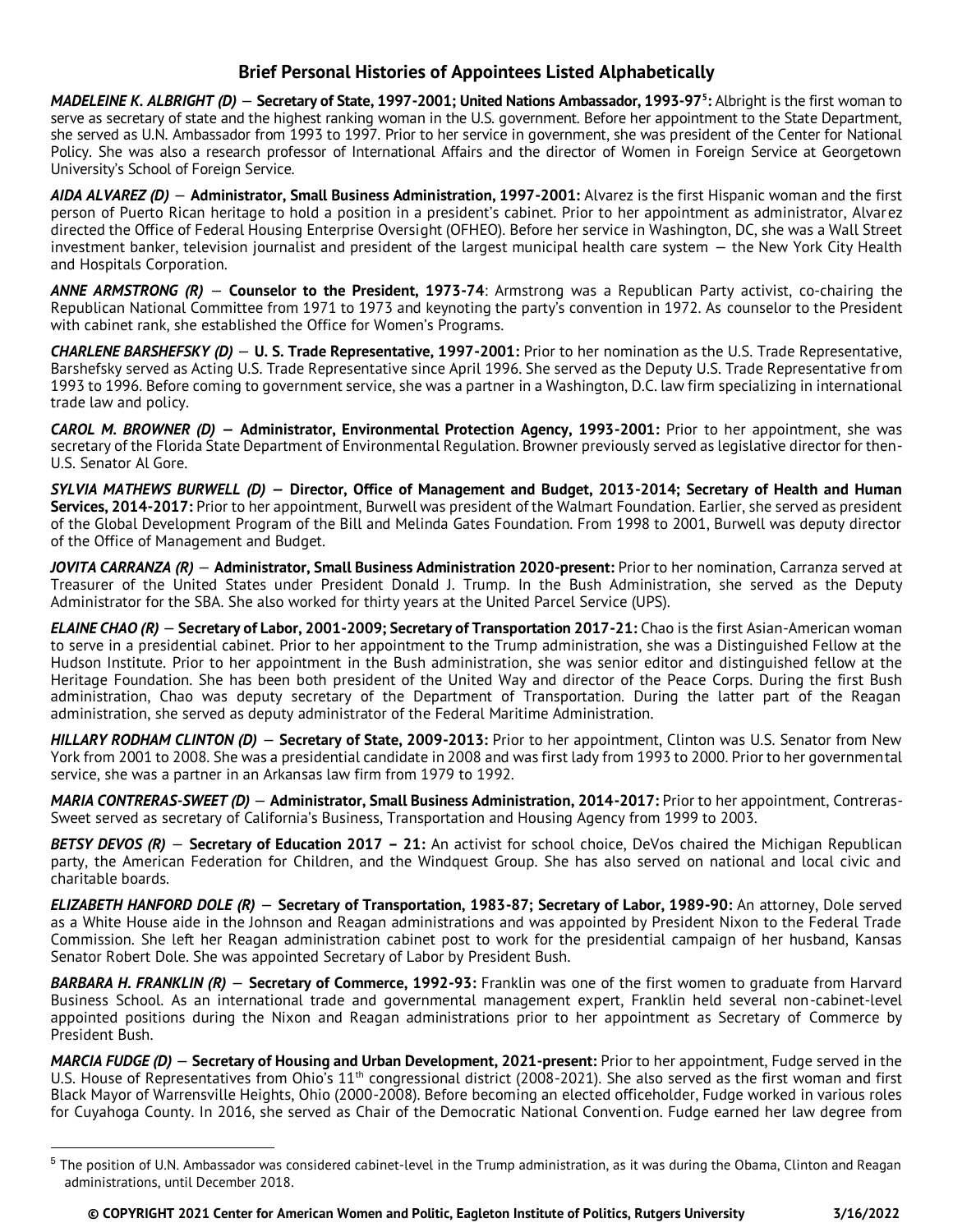## **Brief Personal Histories of Appointees Listed Alphabetically**

*MADELEINE K. ALBRIGHT (D)* — **Secretary of State, 1997-2001; United Nations Ambassador, 1993-97<sup>5</sup> :** Albright is the first woman to serve as secretary of state and the highest ranking woman in the U.S. government. Before her appointment to the State Department, she served as U.N. Ambassador from 1993 to 1997. Prior to her service in government, she was president of the Center for National Policy. She was also a research professor of International Affairs and the director of Women in Foreign Service at Georgetown University's School of Foreign Service.

*AIDA ALVAREZ (D)* — **Administrator, Small Business Administration, 1997-2001:** Alvarez is the first Hispanic woman and the first person of Puerto Rican heritage to hold a position in a president's cabinet. Prior to her appointment as administrator, Alvarez directed the Office of Federal Housing Enterprise Oversight (OFHEO). Before her service in Washington, DC, she was a Wall Street investment banker, television journalist and president of the largest municipal health care system — the New York City Health and Hospitals Corporation.

*ANNE ARMSTRONG (R)* — **Counselor to the President, 1973-74**: Armstrong was a Republican Party activist, co-chairing the Republican National Committee from 1971 to 1973 and keynoting the party's convention in 1972. As counselor to the President with cabinet rank, she established the Office for Women's Programs.

*CHARLENE BARSHEFSKY (D)* — **U. S. Trade Representative, 1997-2001:** Prior to her nomination as the U.S. Trade Representative, Barshefsky served as Acting U.S. Trade Representative since April 1996. She served as the Deputy U.S. Trade Representative from 1993 to 1996. Before coming to government service, she was a partner in a Washington, D.C. law firm specializing in international trade law and policy.

*CAROL M. BROWNER (D) —* **Administrator, Environmental Protection Agency, 1993-2001:** Prior to her appointment, she was secretary of the Florida State Department of Environmental Regulation. Browner previously served as legislative director for then-U.S. Senator Al Gore.

*SYLVIA MATHEWS BURWELL (D) —* **Director, Office of Management and Budget, 2013-2014; Secretary of Health and Human Services, 2014-2017:** Prior to her appointment, Burwell was president of the Walmart Foundation. Earlier, she served as president of the Global Development Program of the Bill and Melinda Gates Foundation. From 1998 to 2001, Burwell was deputy director of the Office of Management and Budget.

*JOVITA CARRANZA (R)* — **Administrator, Small Business Administration 2020-present:** Prior to her nomination, Carranza served at Treasurer of the United States under President Donald J. Trump. In the Bush Administration, she served as the Deputy Administrator for the SBA. She also worked for thirty years at the United Parcel Service (UPS).

*ELAINE CHAO (R)* — **Secretary of Labor, 2001-2009; Secretary of Transportation 2017-21:** Chao is the first Asian-American woman to serve in a presidential cabinet. Prior to her appointment to the Trump administration, she was a Distinguished Fellow at the Hudson Institute. Prior to her appointment in the Bush administration, she was senior editor and distinguished fellow at the Heritage Foundation. She has been both president of the United Way and director of the Peace Corps. During the first Bush administration, Chao was deputy secretary of the Department of Transportation. During the latter part of the Reagan administration, she served as deputy administrator of the Federal Maritime Administration.

*HILLARY RODHAM CLINTON (D)* — **Secretary of State, 2009-2013:** Prior to her appointment, Clinton was U.S. Senator from New York from 2001 to 2008. She was a presidential candidate in 2008 and was first lady from 1993 to 2000. Prior to her governmental service, she was a partner in an Arkansas law firm from 1979 to 1992.

*MARIA CONTRERAS-SWEET (D)* — **Administrator, Small Business Administration, 2014-2017:** Prior to her appointment, Contreras-Sweet served as secretary of California's Business, Transportation and Housing Agency from 1999 to 2003.

*BETSY DEVOS (R)* — **Secretary of Education 2017 – 21:** An activist for school choice, DeVos chaired the Michigan Republican party, the American Federation for Children, and the Windquest Group. She has also served on national and local civic and charitable boards.

*ELIZABETH HANFORD DOLE (R)* — **Secretary of Transportation, 1983-87; Secretary of Labor, 1989-90:** An attorney, Dole served as a White House aide in the Johnson and Reagan administrations and was appointed by President Nixon to the Federal Trade Commission. She left her Reagan administration cabinet post to work for the presidential campaign of her husband, Kansas Senator Robert Dole. She was appointed Secretary of Labor by President Bush.

*BARBARA H. FRANKLIN (R)* — **Secretary of Commerce, 1992-93:** Franklin was one of the first women to graduate from Harvard Business School. As an international trade and governmental management expert, Franklin held several non-cabinet-level appointed positions during the Nixon and Reagan administrations prior to her appointment as Secretary of Commerce by President Bush.

*MARCIA FUDGE (D)* — **Secretary of Housing and Urban Development, 2021-present:** Prior to her appointment, Fudge served in the U.S. House of Representatives from Ohio's 11<sup>th</sup> congressional district (2008-2021). She also served as the first woman and first Black Mayor of Warrensville Heights, Ohio (2000-2008). Before becoming an elected officeholder, Fudge worked in various roles for Cuyahoga County. In 2016, she served as Chair of the Democratic National Convention. Fudge earned her law degree from

<sup>&</sup>lt;sup>5</sup> The position of U.N. Ambassador was considered cabinet-level in the Trump administration, as it was during the Obama, Clinton and Reagan administrations, until December 2018.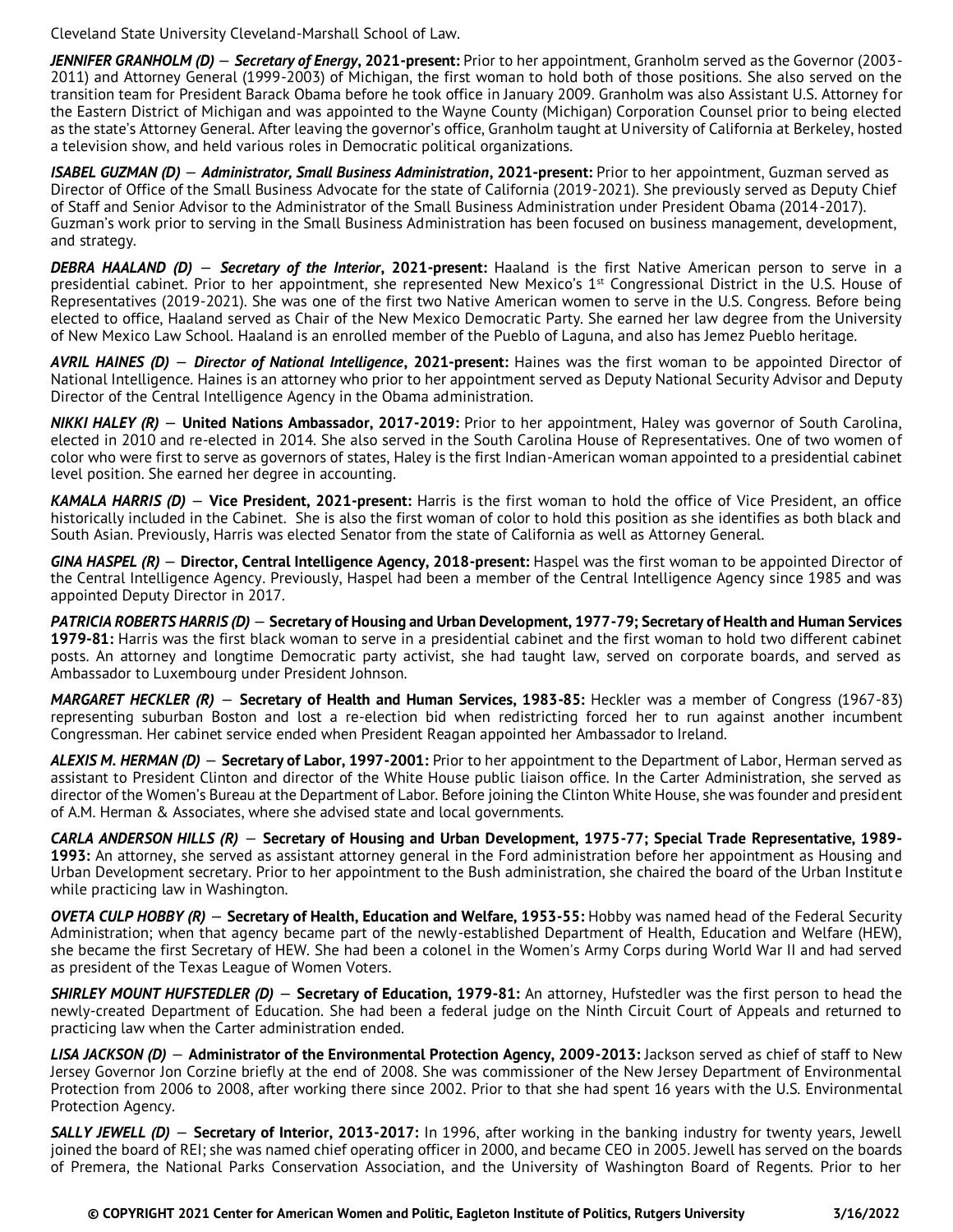Cleveland State University Cleveland-Marshall School of Law.

*JENNIFER GRANHOLM (D)* — *Secretary of Energy***, 2021-present:** Prior to her appointment, Granholm served as the Governor (2003- 2011) and Attorney General (1999-2003) of Michigan, the first woman to hold both of those positions. She also served on the transition team for President Barack Obama before he took office in January 2009. Granholm was also Assistant U.S. Attorney for the Eastern District of Michigan and was appointed to the Wayne County (Michigan) Corporation Counsel prior to being elected as the state's Attorney General. After leaving the governor's office, Granholm taught at University of California at Berkeley, hosted a television show, and held various roles in Democratic political organizations.

*ISABEL GUZMAN (D)* — *Administrator, Small Business Administration***, 2021-present:** Prior to her appointment, Guzman served as Director of Office of the Small Business Advocate for the state of California (2019-2021). She previously served as Deputy Chief of Staff and Senior Advisor to the Administrator of the Small Business Administration under President Obama (2014-2017). Guzman's work prior to serving in the Small Business Administration has been focused on business management, development, and strategy.

*DEBRA HAALAND (D)* — *Secretary of the Interior***, 2021-present:** Haaland is the first Native American person to serve in a presidential cabinet. Prior to her appointment, she represented New Mexico's 1<sup>st</sup> Congressional District in the U.S. House of Representatives (2019-2021). She was one of the first two Native American women to serve in the U.S. Congress. Before being elected to office, Haaland served as Chair of the New Mexico Democratic Party. She earned her law degree from the University of New Mexico Law School. Haaland is an enrolled member of the Pueblo of Laguna, and also has Jemez Pueblo heritage.

*AVRIL HAINES (D)* — *Director of National Intelligence***, 2021-present:** Haines was the first woman to be appointed Director of National Intelligence. Haines is an attorney who prior to her appointment served as Deputy National Security Advisor and Deputy Director of the Central Intelligence Agency in the Obama administration.

*NIKKI HALEY (R)* — **United Nations Ambassador, 2017-2019:** Prior to her appointment, Haley was governor of South Carolina, elected in 2010 and re-elected in 2014. She also served in the South Carolina House of Representatives. One of two women of color who were first to serve as governors of states, Haley is the first Indian-American woman appointed to a presidential cabinet level position. She earned her degree in accounting.

*KAMALA HARRIS (D)* — **Vice President, 2021-present:** Harris is the first woman to hold the office of Vice President, an office historically included in the Cabinet. She is also the first woman of color to hold this position as she identifies as both black and South Asian. Previously, Harris was elected Senator from the state of California as well as Attorney General.

*GINA HASPEL (R)* — **Director, Central Intelligence Agency, 2018-present:** Haspel was the first woman to be appointed Director of the Central Intelligence Agency. Previously, Haspel had been a member of the Central Intelligence Agency since 1985 and was appointed Deputy Director in 2017.

*PATRICIA ROBERTS HARRIS (D)* — **Secretary of Housing and Urban Development, 1977-79; Secretary of Health and Human Services 1979-81:** Harris was the first black woman to serve in a presidential cabinet and the first woman to hold two different cabinet posts. An attorney and longtime Democratic party activist, she had taught law, served on corporate boards, and served as Ambassador to Luxembourg under President Johnson.

*MARGARET HECKLER (R)* — **Secretary of Health and Human Services, 1983-85:** Heckler was a member of Congress (1967-83) representing suburban Boston and lost a re-election bid when redistricting forced her to run against another incumbent Congressman. Her cabinet service ended when President Reagan appointed her Ambassador to Ireland.

*ALEXIS M. HERMAN (D)* — **Secretary of Labor, 1997-2001:** Prior to her appointment to the Department of Labor, Herman served as assistant to President Clinton and director of the White House public liaison office. In the Carter Administration, she served as director of the Women's Bureau at the Department of Labor. Before joining the Clinton White House, she was founder and president of A.M. Herman & Associates, where she advised state and local governments.

*CARLA ANDERSON HILLS (R)* — **Secretary of Housing and Urban Development, 1975-77; Special Trade Representative, 1989- 1993:** An attorney, she served as assistant attorney general in the Ford administration before her appointment as Housing and Urban Development secretary. Prior to her appointment to the Bush administration, she chaired the board of the Urban Institute while practicing law in Washington.

*OVETA CULP HOBBY (R)* — **Secretary of Health, Education and Welfare, 1953-55:** Hobby was named head of the Federal Security Administration; when that agency became part of the newly-established Department of Health, Education and Welfare (HEW), she became the first Secretary of HEW. She had been a colonel in the Women's Army Corps during World War II and had served as president of the Texas League of Women Voters.

*SHIRLEY MOUNT HUFSTEDLER (D)* — **Secretary of Education, 1979-81:** An attorney, Hufstedler was the first person to head the newly-created Department of Education. She had been a federal judge on the Ninth Circuit Court of Appeals and returned to practicing law when the Carter administration ended.

*LISA JACKSON (D)* — **Administrator of the Environmental Protection Agency, 2009-2013:** Jackson served as chief of staff to New Jersey Governor Jon Corzine briefly at the end of 2008. She was commissioner of the New Jersey Department of Environmental Protection from 2006 to 2008, after working there since 2002. Prior to that she had spent 16 years with the U.S. Environmental Protection Agency.

*SALLY JEWELL (D)* — **Secretary of Interior, 2013-2017:** In 1996, after working in the banking industry for twenty years, Jewell joined the board of REI; she was named chief operating officer in 2000, and became CEO in 2005. Jewell has served on the boards of Premera, the National Parks Conservation Association, and the University of Washington Board of Regents. Prior to her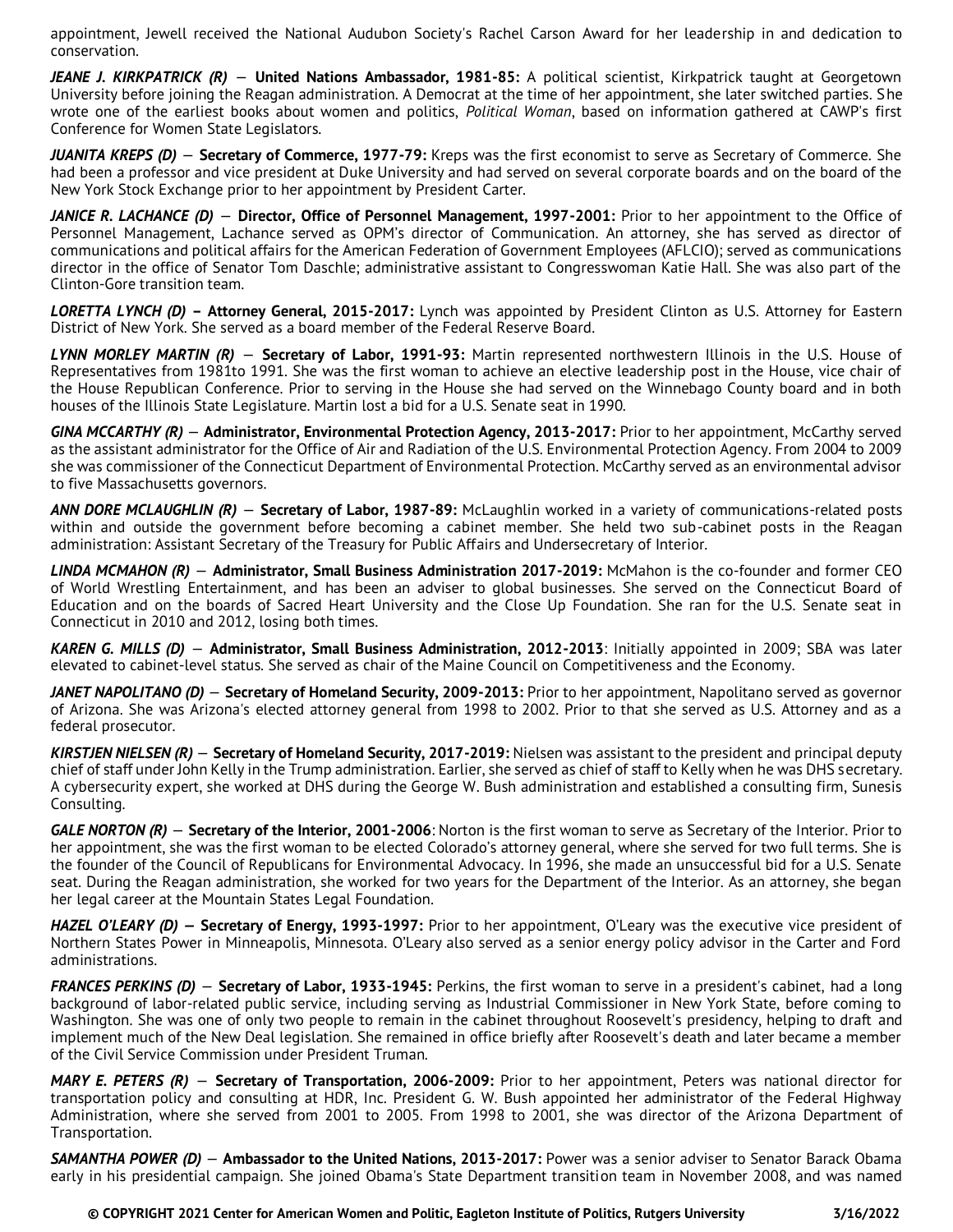appointment, Jewell received the National Audubon Society's Rachel Carson Award for her leadership in and dedication to conservation.

*JEANE J. KIRKPATRICK (R)* — **United Nations Ambassador, 1981-85:** A political scientist, Kirkpatrick taught at Georgetown University before joining the Reagan administration. A Democrat at the time of her appointment, she later switched parties. She wrote one of the earliest books about women and politics, *Political Woman*, based on information gathered at CAWP's first Conference for Women State Legislators.

*JUANITA KREPS (D)* — **Secretary of Commerce, 1977-79:** Kreps was the first economist to serve as Secretary of Commerce. She had been a professor and vice president at Duke University and had served on several corporate boards and on the board of the New York Stock Exchange prior to her appointment by President Carter.

*JANICE R. LACHANCE (D)* — **Director, Office of Personnel Management, 1997-2001:** Prior to her appointment to the Office of Personnel Management, Lachance served as OPM's director of Communication. An attorney, she has served as director of communications and political affairs for the American Federation of Government Employees (AFLCIO); served as communications director in the office of Senator Tom Daschle; administrative assistant to Congresswoman Katie Hall. She was also part of the Clinton-Gore transition team.

*LORETTA LYNCH (D)* **– Attorney General, 2015-2017:** Lynch was appointed by President Clinton as U.S. Attorney for Eastern District of New York. She served as a board member of the Federal Reserve Board.

*LYNN MORLEY MARTIN (R)* — **Secretary of Labor, 1991-93:** Martin represented northwestern Illinois in the U.S. House of Representatives from 1981to 1991. She was the first woman to achieve an elective leadership post in the House, vice chair of the House Republican Conference. Prior to serving in the House she had served on the Winnebago County board and in both houses of the Illinois State Legislature. Martin lost a bid for a U.S. Senate seat in 1990.

*GINA MCCARTHY (R)* — **Administrator, Environmental Protection Agency, 2013-2017:** Prior to her appointment, McCarthy served as the assistant administrator for the Office of Air and Radiation of the U.S. Environmental Protection Agency. From 2004 to 2009 she was commissioner of the Connecticut Department of Environmental Protection. McCarthy served as an environmental advisor to five Massachusetts governors.

*ANN DORE MCLAUGHLIN (R)* — **Secretary of Labor, 1987-89:** McLaughlin worked in a variety of communications-related posts within and outside the government before becoming a cabinet member. She held two sub-cabinet posts in the Reagan administration: Assistant Secretary of the Treasury for Public Affairs and Undersecretary of Interior.

*LINDA MCMAHON (R)* — **Administrator, Small Business Administration 2017-2019:** McMahon is the co-founder and former CEO of World Wrestling Entertainment, and has been an adviser to global businesses. She served on the Connecticut Board of Education and on the boards of Sacred Heart University and the Close Up Foundation. She ran for the U.S. Senate seat in Connecticut in 2010 and 2012, losing both times.

*KAREN G. MILLS (D)* — **Administrator, Small Business Administration, 2012-2013**: Initially appointed in 2009; SBA was later elevated to cabinet-level status. She served as chair of the Maine Council on Competitiveness and the Economy.

*JANET NAPOLITANO (D)* — **Secretary of Homeland Security, 2009-2013:** Prior to her appointment, Napolitano served as governor of Arizona. She was Arizona's elected attorney general from 1998 to 2002. Prior to that she served as U.S. Attorney and as a federal prosecutor.

*KIRSTJEN NIELSEN (R)* — **Secretary of Homeland Security, 2017-2019:** Nielsen was assistant to the president and principal deputy chief of staff under John Kelly in the Trump administration. Earlier, she served as chief of staff to Kelly when he was DHS secretary. A cybersecurity expert, she worked at DHS during the George W. Bush administration and established a consulting firm, Sunesis Consulting.

*GALE NORTON (R)* — **Secretary of the Interior, 2001-2006**: Norton is the first woman to serve as Secretary of the Interior. Prior to her appointment, she was the first woman to be elected Colorado's attorney general, where she served for two full terms. She is the founder of the Council of Republicans for Environmental Advocacy. In 1996, she made an unsuccessful bid for a U.S. Senate seat. During the Reagan administration, she worked for two years for the Department of the Interior. As an attorney, she began her legal career at the Mountain States Legal Foundation.

*HAZEL O'LEARY (D) —* **Secretary of Energy, 1993-1997:** Prior to her appointment, O'Leary was the executive vice president of Northern States Power in Minneapolis, Minnesota. O'Leary also served as a senior energy policy advisor in the Carter and Ford administrations.

*FRANCES PERKINS (D)* — **Secretary of Labor, 1933-1945:** Perkins, the first woman to serve in a president's cabinet, had a long background of labor-related public service, including serving as Industrial Commissioner in New York State, before coming to Washington. She was one of only two people to remain in the cabinet throughout Roosevelt's presidency, helping to draft and implement much of the New Deal legislation. She remained in office briefly after Roosevelt's death and later became a member of the Civil Service Commission under President Truman.

*MARY E. PETERS (R)* — **Secretary of Transportation, 2006-2009:** Prior to her appointment, Peters was national director for transportation policy and consulting at HDR, Inc. President G. W. Bush appointed her administrator of the Federal Highway Administration, where she served from 2001 to 2005. From 1998 to 2001, she was director of the Arizona Department of Transportation.

*SAMANTHA POWER (D)* — **Ambassador to the United Nations, 2013-2017:** Power was a senior adviser to Senator Barack Obama early in his presidential campaign. She joined Obama's State Department transition team in November 2008, and was named

 **© COPYRIGHT 2021 Center for American Women and Politic, Eagleton Institute of Politics, Rutgers University 3/16/2022**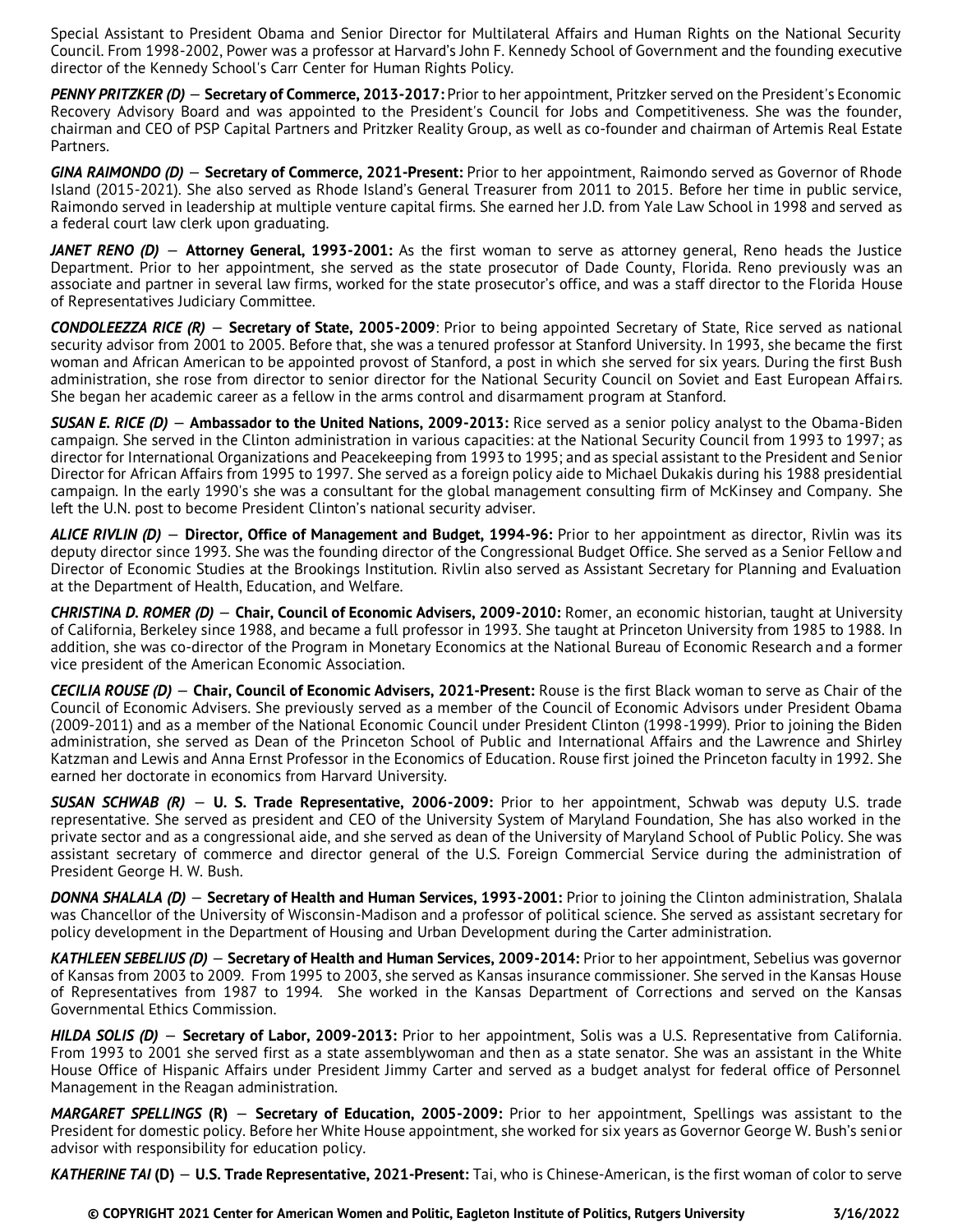Special Assistant to President Obama and Senior Director for Multilateral Affairs and Human Rights on the National Security Council. From 1998-2002, Power was a professor at Harvard's John F. Kennedy School of Government and the founding executive director of the Kennedy School's Carr Center for Human Rights Policy.

*PENNY PRITZKER (D)* — **Secretary of Commerce, 2013-2017:** Prior to her appointment, Pritzker served on the President's Economic Recovery Advisory Board and was appointed to the President's Council for Jobs and Competitiveness. She was the founder, chairman and CEO of PSP Capital Partners and Pritzker Reality Group, as well as co-founder and chairman of Artemis Real Estate Partners.

*GINA RAIMONDO (D)* — **Secretary of Commerce, 2021-Present:** Prior to her appointment, Raimondo served as Governor of Rhode Island (2015-2021). She also served as Rhode Island's General Treasurer from 2011 to 2015. Before her time in public service, Raimondo served in leadership at multiple venture capital firms. She earned her J.D. from Yale Law School in 1998 and served as a federal court law clerk upon graduating.

*JANET RENO (D)* — **Attorney General, 1993-2001:** As the first woman to serve as attorney general, Reno heads the Justice Department. Prior to her appointment, she served as the state prosecutor of Dade County, Florida. Reno previously was an associate and partner in several law firms, worked for the state prosecutor's office, and was a staff director to the Florida House of Representatives Judiciary Committee.

*CONDOLEEZZA RICE (R)* — **Secretary of State, 2005-2009**: Prior to being appointed Secretary of State, Rice served as national security advisor from 2001 to 2005. Before that, she was a tenured professor at Stanford University. In 1993, she became the first woman and African American to be appointed provost of Stanford, a post in which she served for six years. During the first Bush administration, she rose from director to senior director for the National Security Council on Soviet and East European Affairs. She began her academic career as a fellow in the arms control and disarmament program at Stanford.

*SUSAN E. RICE (D)* — **Ambassador to the United Nations, 2009-2013:** Rice served as a senior policy analyst to the Obama-Biden campaign. She served in the Clinton administration in various capacities: at the National Security Council from 1993 to 1997; as director for International Organizations and Peacekeeping from 1993 to 1995; and as special assistant to the President and Senior Director for African Affairs from 1995 to 1997. She served as a foreign policy aide to Michael Dukakis during his 1988 presidential campaign. In the early 1990's she was a consultant for the global management consulting firm of McKinsey and Company. She left the U.N. post to become President Clinton's national security adviser.

*ALICE RIVLIN (D)* — **Director, Office of Management and Budget, 1994-96:** Prior to her appointment as director, Rivlin was its deputy director since 1993. She was the founding director of the Congressional Budget Office. She served as a Senior Fellow and Director of Economic Studies at the Brookings Institution. Rivlin also served as Assistant Secretary for Planning and Evaluation at the Department of Health, Education, and Welfare.

*CHRISTINA D. ROMER (D)* — **Chair, Council of Economic Advisers, 2009-2010:** Romer, an economic historian, taught at University of California, Berkeley since 1988, and became a full professor in 1993. She taught at Princeton University from 1985 to 1988. In addition, she was co-director of the Program in Monetary Economics at the National Bureau of Economic Research and a former vice president of the American Economic Association.

*CECILIA ROUSE (D)* — **Chair, Council of Economic Advisers, 2021-Present:** Rouse is the first Black woman to serve as Chair of the Council of Economic Advisers. She previously served as a member of the Council of Economic Advisors under President Obama (2009-2011) and as a member of the National Economic Council under President Clinton (1998-1999). Prior to joining the Biden administration, she served as Dean of the Princeton School of Public and International Affairs and the Lawrence and Shirley Katzman and Lewis and Anna Ernst Professor in the Economics of Education. Rouse first joined the Princeton faculty in 1992. She earned her doctorate in economics from Harvard University.

*SUSAN SCHWAB (R)* — **U. S. Trade Representative, 2006-2009:** Prior to her appointment, Schwab was deputy U.S. trade representative. She served as president and CEO of the University System of Maryland Foundation, She has also worked in the private sector and as a congressional aide, and she served as dean of the University of Maryland School of Public Policy. She was assistant secretary of commerce and director general of the U.S. Foreign Commercial Service during the administration of President George H. W. Bush.

*DONNA SHALALA (D)* — **Secretary of Health and Human Services, 1993-2001:** Prior to joining the Clinton administration, Shalala was Chancellor of the University of Wisconsin-Madison and a professor of political science. She served as assistant secretary for policy development in the Department of Housing and Urban Development during the Carter administration.

*KATHLEEN SEBELIUS (D)* — **Secretary of Health and Human Services, 2009-2014:** Prior to her appointment, Sebelius was governor of Kansas from 2003 to 2009. From 1995 to 2003, she served as Kansas insurance commissioner. She served in the Kansas House of Representatives from 1987 to 1994. She worked in the Kansas Department of Corrections and served on the Kansas Governmental Ethics Commission.

*HILDA SOLIS (D)* — **Secretary of Labor, 2009-2013:** Prior to her appointment, Solis was a U.S. Representative from California. From 1993 to 2001 she served first as a state assemblywoman and then as a state senator. She was an assistant in the White House Office of Hispanic Affairs under President Jimmy Carter and served as a budget analyst for federal office of Personnel Management in the Reagan administration.

*MARGARET SPELLINGS* **(R)** — **Secretary of Education, 2005-2009:** Prior to her appointment, Spellings was assistant to the President for domestic policy. Before her White House appointment, she worked for six years as Governor George W. Bush's senior advisor with responsibility for education policy.

*KATHERINE TAI* **(D)** — **U.S. Trade Representative, 2021-Present:** Tai, who is Chinese-American, is the first woman of color to serve